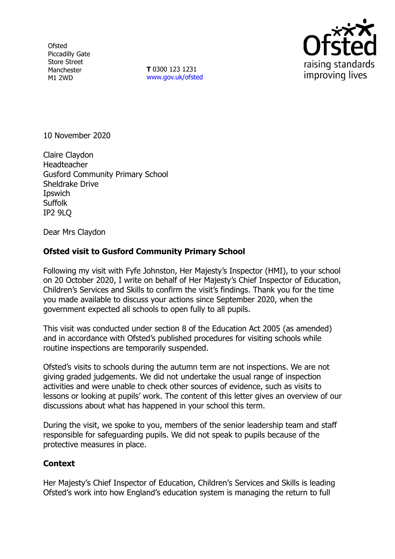**Ofsted** Piccadilly Gate Store Street Manchester M1 2WD

**T** 0300 123 1231 [www.gov.uk/ofsted](http://www.gov.uk/ofsted)



10 November 2020

Claire Claydon **Headteacher** Gusford Community Primary School Sheldrake Drive **I**pswich Suffolk IP2 9LQ

Dear Mrs Claydon

## **Ofsted visit to Gusford Community Primary School**

Following my visit with Fyfe Johnston, Her Majesty's Inspector (HMI), to your school on 20 October 2020, I write on behalf of Her Majesty's Chief Inspector of Education, Children's Services and Skills to confirm the visit's findings. Thank you for the time you made available to discuss your actions since September 2020, when the government expected all schools to open fully to all pupils.

This visit was conducted under section 8 of the Education Act 2005 (as amended) and in accordance with Ofsted's published procedures for visiting schools while routine inspections are temporarily suspended.

Ofsted's visits to schools during the autumn term are not inspections. We are not giving graded judgements. We did not undertake the usual range of inspection activities and were unable to check other sources of evidence, such as visits to lessons or looking at pupils' work. The content of this letter gives an overview of our discussions about what has happened in your school this term.

During the visit, we spoke to you, members of the senior leadership team and staff responsible for safeguarding pupils. We did not speak to pupils because of the protective measures in place.

## **Context**

Her Majesty's Chief Inspector of Education, Children's Services and Skills is leading Ofsted's work into how England's education system is managing the return to full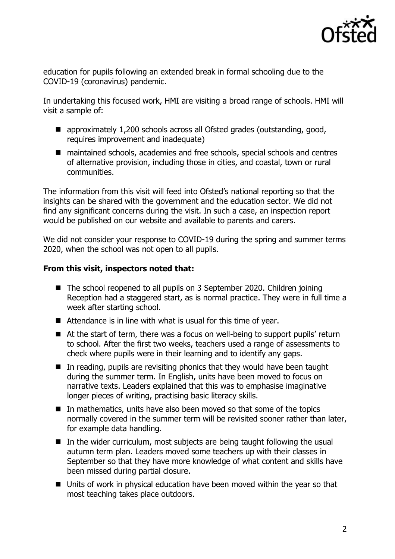

education for pupils following an extended break in formal schooling due to the COVID-19 (coronavirus) pandemic.

In undertaking this focused work, HMI are visiting a broad range of schools. HMI will visit a sample of:

- approximately 1,200 schools across all Ofsted grades (outstanding, good, requires improvement and inadequate)
- maintained schools, academies and free schools, special schools and centres of alternative provision, including those in cities, and coastal, town or rural communities.

The information from this visit will feed into Ofsted's national reporting so that the insights can be shared with the government and the education sector. We did not find any significant concerns during the visit. In such a case, an inspection report would be published on our website and available to parents and carers.

We did not consider your response to COVID-19 during the spring and summer terms 2020, when the school was not open to all pupils.

## **From this visit, inspectors noted that:**

- The school reopened to all pupils on 3 September 2020. Children joining Reception had a staggered start, as is normal practice. They were in full time a week after starting school.
- Attendance is in line with what is usual for this time of year.
- At the start of term, there was a focus on well-being to support pupils' return to school. After the first two weeks, teachers used a range of assessments to check where pupils were in their learning and to identify any gaps.
- $\blacksquare$  In reading, pupils are revisiting phonics that they would have been taught during the summer term. In English, units have been moved to focus on narrative texts. Leaders explained that this was to emphasise imaginative longer pieces of writing, practising basic literacy skills.
- $\blacksquare$  In mathematics, units have also been moved so that some of the topics normally covered in the summer term will be revisited sooner rather than later, for example data handling.
- $\blacksquare$  In the wider curriculum, most subjects are being taught following the usual autumn term plan. Leaders moved some teachers up with their classes in September so that they have more knowledge of what content and skills have been missed during partial closure.
- Units of work in physical education have been moved within the year so that most teaching takes place outdoors.